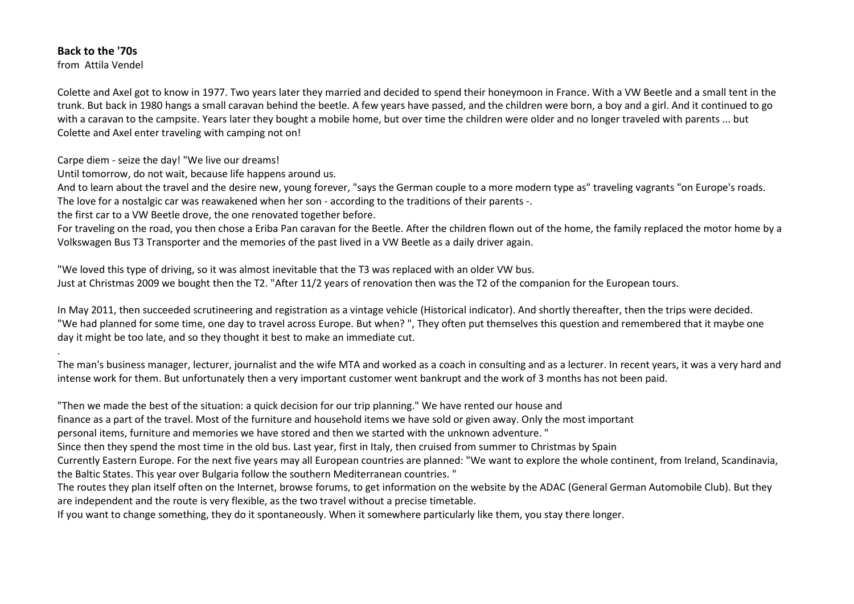## **Back to the '70s**

.

from Attila Vendel

Colette and Axel got to know in 1977. Two years later they married and decided to spend their honeymoon in France. With a VW Beetle and a small tent in the trunk. But back in 1980 hangs a small caravan behind the beetle. A few years have passed, and the children were born, a boy and a girl. And it continued to gowith a caravan to the campsite. Years later they bought a mobile home, but over time the children were older and no longer traveled with parents ... but Colette and Axel enter traveling with camping not on!

Carpe diem - seize the day! "We live our dreams!

Until tomorrow, do not wait, because life happens around us.

And to learn about the travel and the desire new, young forever, "says the German couple to a more modern type as" traveling vagrants "on Europe's roads. The love for a nostalgic car was reawakened when her son - according to the traditions of their parents -.

the first car to a VW Beetle drove, the one renovated together before.

For traveling on the road, you then chose a Eriba Pan caravan for the Beetle. After the children flown out of the home, the family replaced the motor home by a Volkswagen Bus T3 Transporter and the memories of the past lived in a VW Beetle as a daily driver again.

"We loved this type of driving, so it was almost inevitable that the T3 was replaced with an older VW bus. Just at Christmas 2009 we bought then the T2. "After 11/2 years of renovation then was the T2 of the companion for the European tours.

In May 2011, then succeeded scrutineering and registration as a vintage vehicle (Historical indicator). And shortly thereafter, then the trips were decided. "We had planned for some time, one day to travel across Europe. But when? ", They often put themselves this question and remembered that it maybe one day it might be too late, and so they thought it best to make an immediate cut.

The man's business manager, lecturer, journalist and the wife MTA and worked as a coach in consulting and as a lecturer. In recent years, it was a very hard and intense work for them. But unfortunately then a very important customer went bankrupt and the work of 3 months has not been paid.

"Then we made the best of the situation: a quick decision for our trip planning." We have rented our house and finance as a part of the travel. Most of the furniture and household items we have sold or given away. Only the most important personal items, furniture and memories we have stored and then we started with the unknown adventure. " Since then they spend the most time in the old bus. Last year, first in Italy, then cruised from summer to Christmas by Spain Currently Eastern Europe. For the next five years may all European countries are planned: "We want to explore the whole continent, from Ireland, Scandinavia, the Baltic States. This year over Bulgaria follow the southern Mediterranean countries. " The routes they plan itself often on the Internet, browse forums, to get information on the website by the ADAC (General German Automobile Club). But they are independent and the route is very flexible, as the two travel without a precise timetable. If you want to change something, they do it spontaneously. When it somewhere particularly like them, you stay there longer.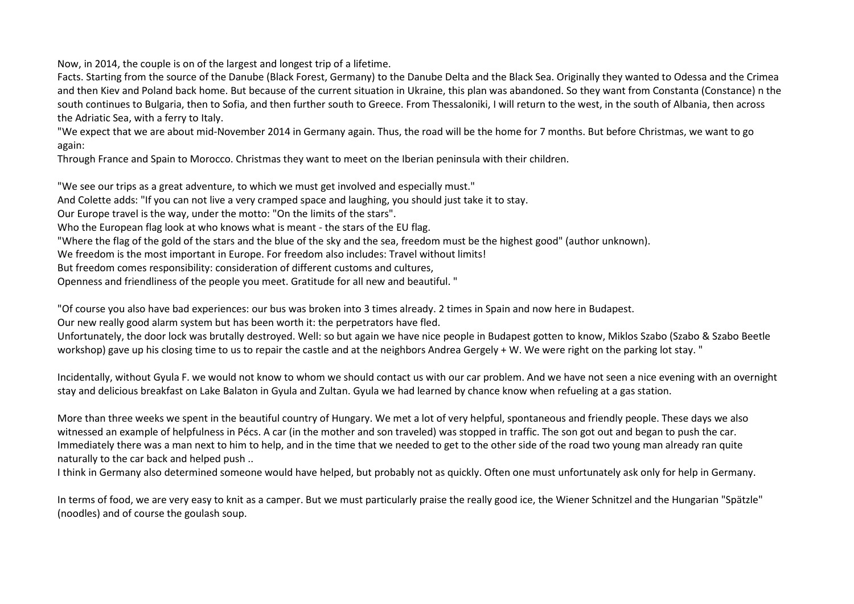Now, in 2014, the couple is on of the largest and longest trip of a lifetime.

Facts. Starting from the source of the Danube (Black Forest, Germany) to the Danube Delta and the Black Sea. Originally they wanted to Odessa and the Crimea and then Kiev and Poland back home. But because of the current situation in Ukraine, this plan was abandoned. So they want from Constanta (Constance) n the south continues to Bulgaria, then to Sofia, and then further south to Greece. From Thessaloniki, I will return to the west, in the south of Albania, then across the Adriatic Sea, with a ferry to Italy.

"We expect that we are about mid-November 2014 in Germany again. Thus, the road will be the home for 7 months. But before Christmas, we want to go again:

Through France and Spain to Morocco. Christmas they want to meet on the Iberian peninsula with their children.

"We see our trips as a great adventure, to which we must get involved and especially must." And Colette adds: "If you can not live a very cramped space and laughing, you should just take it to stay. Our Europe travel is the way, under the motto: "On the limits of the stars". Who the European flag look at who knows what is meant - the stars of the EU flag. "Where the flag of the gold of the stars and the blue of the sky and the sea, freedom must be the highest good" (author unknown). We freedom is the most important in Europe. For freedom also includes: Travel without limits! But freedom comes responsibility: consideration of different customs and cultures, Openness and friendliness of the people you meet. Gratitude for all new and beautiful. "

"Of course you also have bad experiences: our bus was broken into 3 times already. 2 times in Spain and now here in Budapest.

Our new really good alarm system but has been worth it: the perpetrators have fled.

Unfortunately, the door lock was brutally destroyed. Well: so but again we have nice people in Budapest gotten to know, Miklos Szabo (Szabo & Szabo Beetle workshop) gave up his closing time to us to repair the castle and at the neighbors Andrea Gergely + W. We were right on the parking lot stay. "

Incidentally, without Gyula F. we would not know to whom we should contact us with our car problem. And we have not seen a nice evening with an overnight stay and delicious breakfast on Lake Balaton in Gyula and Zultan. Gyula we had learned by chance know when refueling at a gas station.

More than three weeks we spent in the beautiful country of Hungary. We met a lot of very helpful, spontaneous and friendly people. These days we also witnessed an example of helpfulness in Pécs. A car (in the mother and son traveled) was stopped in traffic. The son got out and began to push the car. Immediately there was a man next to him to help, and in the time that we needed to get to the other side of the road two young man already ran quite naturally to the car back and helped push ..

I think in Germany also determined someone would have helped, but probably not as quickly. Often one must unfortunately ask only for help in Germany.

In terms of food, we are very easy to knit as a camper. But we must particularly praise the really good ice, the Wiener Schnitzel and the Hungarian "Spätzle" (noodles) and of course the goulash soup.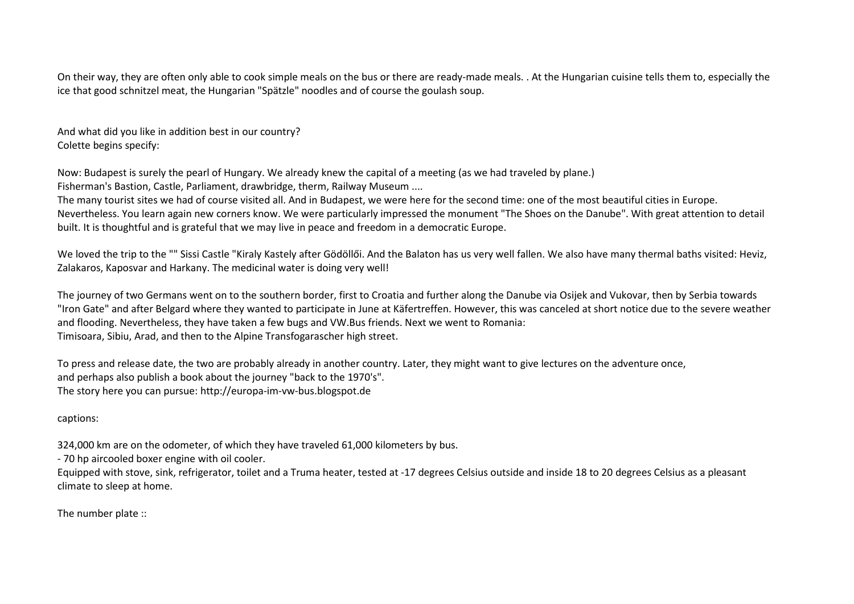On their way, they are often only able to cook simple meals on the bus or there are ready-made meals. . At the Hungarian cuisine tells them to, especially theice that good schnitzel meat, the Hungarian "Spätzle" noodles and of course the goulash soup.

And what did you like in addition best in our country? Colette begins specify:

Now: Budapest is surely the pearl of Hungary. We already knew the capital of a meeting (as we had traveled by plane.) Fisherman's Bastion, Castle, Parliament, drawbridge, therm, Railway Museum ....

The many tourist sites we had of course visited all. And in Budapest, we were here for the second time: one of the most beautiful cities in Europe. Nevertheless. You learn again new corners know. We were particularly impressed the monument "The Shoes on the Danube". With great attention to detail built. It is thoughtful and is grateful that we may live in peace and freedom in a democratic Europe.

We loved the trip to the "" Sissi Castle "Kiraly Kastely after Gödöllői. And the Balaton has us very well fallen. We also have many thermal baths visited: Heviz, Zalakaros, Kaposvar and Harkany. The medicinal water is doing very well!

The journey of two Germans went on to the southern border, first to Croatia and further along the Danube via Osijek and Vukovar, then by Serbia towards "Iron Gate" and after Belgard where they wanted to participate in June at Käfertreffen. However, this was canceled at short notice due to the severe weather and flooding. Nevertheless, they have taken a few bugs and VW.Bus friends. Next we went to Romania: Timisoara, Sibiu, Arad, and then to the Alpine Transfogarascher high street.

To press and release date, the two are probably already in another country. Later, they might want to give lectures on the adventure once, and perhaps also publish a book about the journey "back to the 1970's". The story here you can pursue: http://europa-im-vw-bus.blogspot.de

captions:

324,000 km are on the odometer, of which they have traveled 61,000 kilometers by bus.

- 70 hp aircooled boxer engine with oil cooler.

Equipped with stove, sink, refrigerator, toilet and a Truma heater, tested at -17 degrees Celsius outside and inside 18 to 20 degrees Celsius as a pleasant climate to sleep at home.

The number plate ::